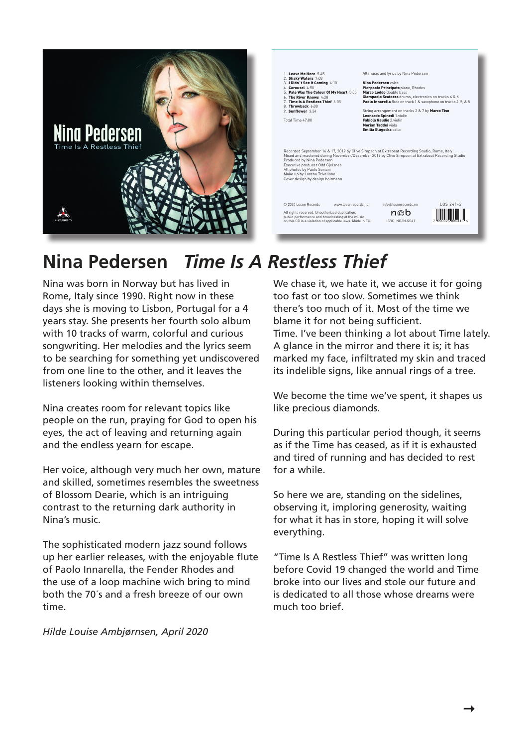



## **Nina Pedersen** *Time Is A Restless Thief*

Nina was born in Norway but has lived in Rome, Italy since 1990. Right now in these days she is moving to Lisbon, Portugal for a 4 years stay. She presents her fourth solo album with 10 tracks of warm, colorful and curious songwriting. Her melodies and the lyrics seem to be searching for something yet undiscovered from one line to the other, and it leaves the listeners looking within themselves.

Nina creates room for relevant topics like people on the run, praying for God to open his eyes, the act of leaving and returning again and the endless yearn for escape.

Her voice, although very much her own, mature and skilled, sometimes resembles the sweetness of Blossom Dearie, which is an intriguing contrast to the returning dark authority in Nina's music.

The sophisticated modern jazz sound follows up her earlier releases, with the enjoyable flute of Paolo Innarella, the Fender Rhodes and the use of a loop machine wich bring to mind both the 70´s and a fresh breeze of our own time.

*Hilde Louise Ambjørnsen, April 2020*

We chase it, we hate it, we accuse it for going too fast or too slow. Sometimes we think there's too much of it. Most of the time we blame it for not being sufficient. Time. I've been thinking a lot about Time lately. A glance in the mirror and there it is; it has marked my face, infiltrated my skin and traced its indelible signs, like annual rings of a tree.

We become the time we've spent, it shapes us like precious diamonds.

During this particular period though, it seems as if the Time has ceased, as if it is exhausted and tired of running and has decided to rest for a while.

So here we are, standing on the sidelines, observing it, imploring generosity, waiting for what it has in store, hoping it will solve everything.

"Time Is A Restless Thief" was written long before Covid 19 changed the world and Time broke into our lives and stole our future and is dedicated to all those whose dreams were much too brief.